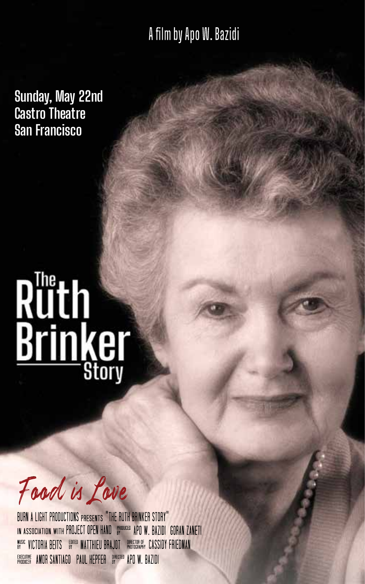A film by Apo W. Bazidi

**Sunday, May 22nd Castro Theatre San Francisco**

# Ruth<br>Brinker

Food is Love

BURN A LIGHT PRODUCTIONS PRESENTS "THE RUTH BRINKER STORY" IN ASSOCIATION WITH PROJECT OPEN HAND RROQUICED APD W. BAZIDI GORAN ZANETI EXECUTIVE AMOR SANTIAGO PAUL HEPFER BRECTED APO W. BAZIDI W<sup>ysic</sup> Victoria Beits – Equed Matthieu Brajot – Photography Cassidy FriedMan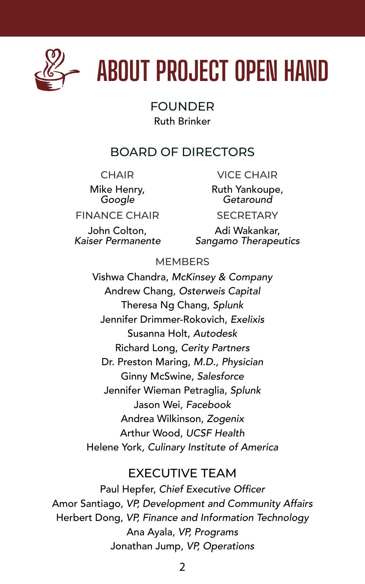

# **ABOUT PROJECT OPEN HAND**

### FOUNDER Ruth Brinker

### BOARD OF DIRECTORS

**CHAIR** 

Mike Henry, *Google*

Ruth Yankoupe, *Getaround*

VICE CHAIR

FINANCE CHAIR

John Colton, *Kaiser Permanente* **SECRETARY** 

Adi Wakankar, *Sangamo Therapeutics*

### **MEMBERS**

Vishwa Chandra, *McKinsey & Company* Andrew Chang, *Osterweis Capital* Theresa Ng Chang, *Splunk* Jennifer Drimmer-Rokovich, *Exelixis* Susanna Holt, *Autodesk* Richard Long, *Cerity Partners* Dr. Preston Maring, *M.D., Physician* Ginny McSwine, *Salesforce* Jennifer Wieman Petraglia, *Splunk* Jason Wei*, Facebook* Andrea Wilkinson, *Zogenix* Arthur Wood, *UCSF Health* Helene York, *Culinary Institute of America*

### EXECUTIVE TEAM

Paul Hepfer, Chief Executive Officer Amor Santiago, *VP, Development and Community Affairs* Herbert Dong, *VP, Finance and Information Technology* Ana Ayala, *VP, Programs* Jonathan Jump, *VP, Operations*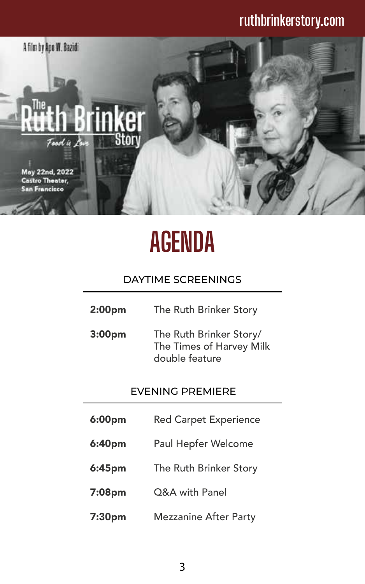### **ruthbrinkerstory.com**



# **AGENDA**

### DAYTIME SCREENINGS

- The Ruth Brinker Story 2:00pm
- The Ruth Brinker Story/ The Times of Harvey Milk double feature 3:00pm

### EVENING PREMIERE

- Red Carpet Experience 6:00pm
- Paul Hepfer Welcome 6:40pm
- The Ruth Brinker Story 6:45pm
- Q&A with Panel 7:08pm
- Mezzanine After Party 7:30pm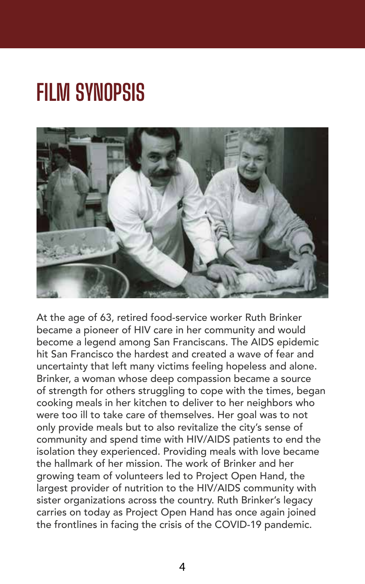# **FILM SYNOPSIS**



At the age of 63, retired food-service worker Ruth Brinker became a pioneer of HIV care in her community and would become a legend among San Franciscans. The AIDS epidemic hit San Francisco the hardest and created a wave of fear and uncertainty that left many victims feeling hopeless and alone. Brinker, a woman whose deep compassion became a source of strength for others struggling to cope with the times, began cooking meals in her kitchen to deliver to her neighbors who were too ill to take care of themselves. Her goal was to not only provide meals but to also revitalize the city's sense of community and spend time with HIV/AIDS patients to end the isolation they experienced. Providing meals with love became the hallmark of her mission. The work of Brinker and her growing team of volunteers led to Project Open Hand, the largest provider of nutrition to the HIV/AIDS community with sister organizations across the country. Ruth Brinker's legacy carries on today as Project Open Hand has once again joined the frontlines in facing the crisis of the COVID-19 pandemic.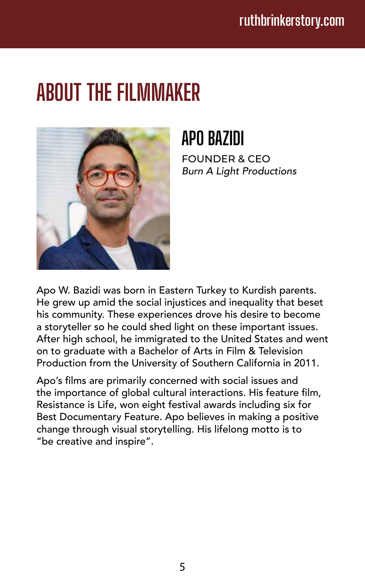# **ABOUT THE FILMMAKER**



## **APO BAZIDI**

FOUNDER & CEO *Burn A Light Productions*

Apo W. Bazidi was born in Eastern Turkey to Kurdish parents. He grew up amid the social injustices and inequality that beset his community. These experiences drove his desire to become a storyteller so he could shed light on these important issues. After high school, he immigrated to the United States and went on to graduate with a Bachelor of Arts in Film & Television Production from the University of Southern California in 2011.

Apo's films are primarily concerned with social issues and the importance of global cultural interactions. His feature film, Resistance is Life, won eight festival awards including six for Best Documentary Feature. Apo believes in making a positive change through visual storytelling. His lifelong motto is to "be creative and inspire".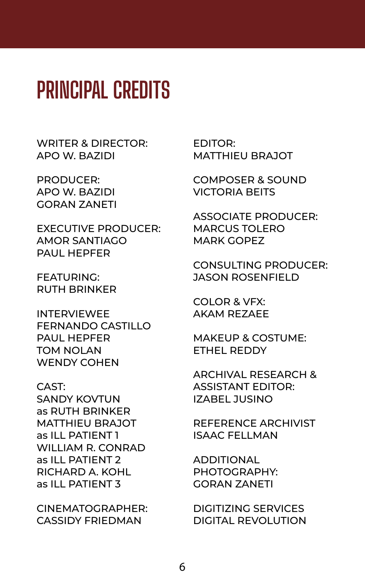# **PRINCIPAL CREDITS**

WRITER & DIRECTOR: APO W. BAZIDI

PRODUCER: APO W. BAZIDI GORAN ZANETI

EXECUTIVE PRODUCER: AMOR SANTIAGO PAUL HEPFER

FEATURING: RUTH BRINKER

INTERVIEWEE FERNANDO CASTILLO PAUL HEPFER TOM NOLAN WENDY COHEN

CAST: SANDY KOVTUN as RUTH BRINKER MATTHIEU BRAJOT as ILL PATIENT 1 WILLIAM R. CONRAD as ILL PATIENT 2 RICHARD A. KOHL as ILL PATIENT 3

CINEMATOGRAPHER: CASSIDY FRIEDMAN

EDITOR: MATTHIEU BRAJOT

COMPOSER & SOUND VICTORIA BEITS

ASSOCIATE PRODUCER: MARCUS TOLERO MARK GOPEZ

CONSULTING PRODUCER: JASON ROSENFIELD

COLOR & VFX: AKAM REZAEE

MAKEUP & COSTUME: ETHEL REDDY

ARCHIVAL RESEARCH & ASSISTANT EDITOR: IZABEL JUSINO

REFERENCE ARCHIVIST ISAAC FELLMAN

ADDITIONAL PHOTOGRAPHY: GORAN ZANETI

DIGITIZING SERVICES DIGITAL REVOLUTION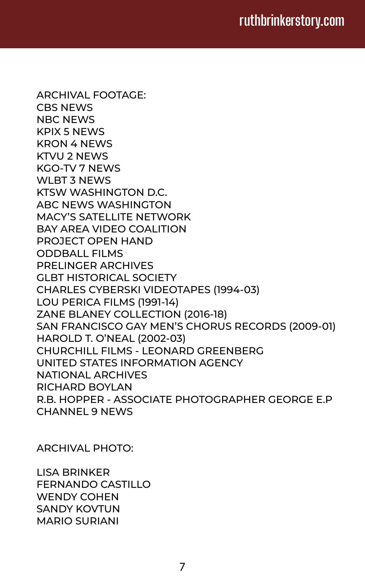ARCHIVAL FOOTAGE: CBS NEWS NBC NEWS KPIX 5 NEWS KRON 4 NEWS KTVU 2 NEWS KGO-TV 7 NEWS WLBT 3 NEWS KTSW WASHINGTON D.C. ABC NEWS WASHINGTON MACY'S SATELLITE NETWORK BAY AREA VIDEO COALITION PROJECT OPEN HAND ODDBALL FILMS PRELINGER ARCHIVES GLBT HISTORICAL SOCIETY CHARLES CYBERSKI VIDEOTAPES (1994-03) LOU PERICA FILMS (1991-14) ZANE BLANEY COLLECTION (2016-18) SAN FRANCISCO GAY MEN'S CHORUS RECORDS (2009-01) HAROLD T. O'NEAL (2002-03) CHURCHILL FILMS - LEONARD GREENBERG UNITED STATES INFORMATION AGENCY NATIONAL ARCHIVES RICHARD BOYLAN R.B. HOPPER - ASSOCIATE PHOTOGRAPHER GEORGE E.P CHANNEL 9 NEWS

ARCHIVAL PHOTO:

LISA BRINKER FERNANDO CASTILLO WENDY COHEN SANDY KOVTUN MARIO SURIANI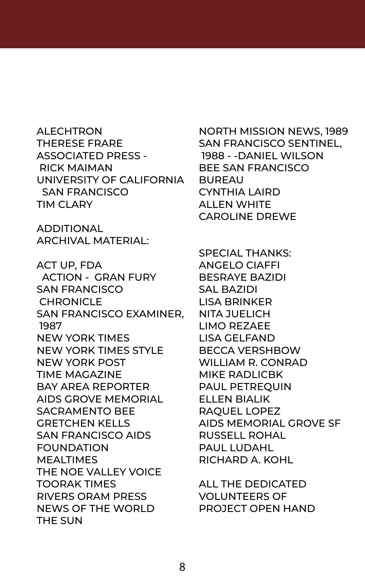ALECHTRON THERESE FRARE ASSOCIATED PRESS - RICK MAIMAN UNIVERSITY OF CALIFORNIA SAN FRANCISCO TIM CLARY

ADDITIONAL ARCHIVAL MATERIAL:

ACT UP, FDA ACTION - GRAN FURY SAN FRANCISCO CHRONICLE SAN FRANCISCO EXAMINER, NITA JUELICH 1987 NEW YORK TIMES NEW YORK TIMES STYLE NEW YORK POST TIME MAGAZINE BAY AREA REPORTER AIDS GROVE MEMORIAL SACRAMENTO BEE GRETCHEN KELLS SAN FRANCISCO AIDS FOUNDATION **MEALTIMES** THE NOE VALLEY VOICE TOORAK TIMES RIVERS ORAM PRESS NEWS OF THE WORLD THE SUN

NORTH MISSION NEWS, 1989 SAN FRANCISCO SENTINEL, 1988 - -DANIEL WILSON BEE SAN FRANCISCO BUREAU CYNTHIA LAIRD ALLEN WHITE CAROLINE DREWE

SPECIAL THANKS: ANGELO CIAFFI BESRAYE BAZIDI SAL BAZIDI LISA BRINKER LIMO REZAEE LISA GELFAND BECCA VERSHBOW WILLIAM R. CONRAD MIKE RADLICBK PAUL PETREQUIN ELLEN BIALIK RAQUEL LOPEZ AIDS MEMORIAL GROVE SF RUSSELL ROHAL PAUL LUDAHL RICHARD A. KOHL

ALL THE DEDICATED VOLUNTEERS OF PROJECT OPEN HAND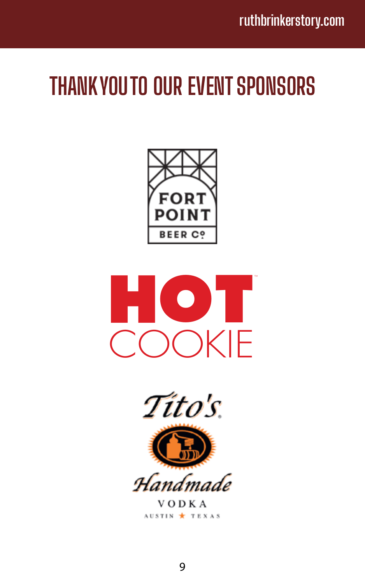# **THANK YOU TO OUR EVENT SPONSORS**







V O D K A AUSTIN \* TEXAS